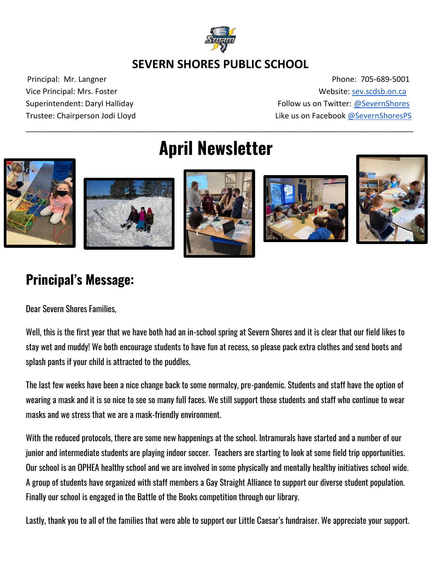

### **SEVERN SHORES PUBLIC SCHOOL**

Principal: Mr. Langner Phone: 705-689-5001 Vice Principal: Mrs. Foster Website[: sev.scdsb.on.ca](http://sev.scdsb.on.ca/)  Superintendent: Daryl Halliday **Follow us on Twitter: [@SevernShores](https://twitter.com/severnshores?lang=en)** Trustee: Chairperson Jodi Lloyd **Like us on Facebook @SevernShoresPS** 

# **April Newsletter**

\_\_\_\_\_\_\_\_\_\_\_\_\_\_\_\_\_\_\_\_\_\_\_\_\_\_\_\_\_\_\_\_\_\_\_\_\_\_\_\_\_\_\_\_\_\_\_\_\_\_\_\_\_\_\_\_\_\_\_\_\_\_\_\_\_\_\_\_\_\_\_\_\_\_\_\_\_\_\_\_\_\_\_\_\_\_\_\_\_\_











# **Principal's Message:**

Dear Severn Shores Families,

Well, this is the first year that we have both had an in-school spring at Severn Shores and it is clear that our field likes to stay wet and muddy! We both encourage students to have fun at recess, so please pack extra clothes and send boots and splash pants if your child is attracted to the puddles.

The last few weeks have been a nice change back to some normalcy, pre-pandemic. Students and staff have the option of wearing a mask and it is so nice to see so many full faces. We still support those students and staff who continue to wear masks and we stress that we are a mask-friendly environment.

With the reduced protocols, there are some new happenings at the school. Intramurals have started and a number of our junior and intermediate students are playing indoor soccer. Teachers are starting to look at some field trip opportunities. Our school is an OPHEA healthy school and we are involved in some physically and mentally healthy initiatives school wide. A group of students have organized with staff members a Gay Straight Alliance to support our diverse student population. Finally our school is engaged in the Battle of the Books competition through our library.

Lastly, thank you to all of the families that were able to support our Little Caesar's fundraiser. We appreciate your support.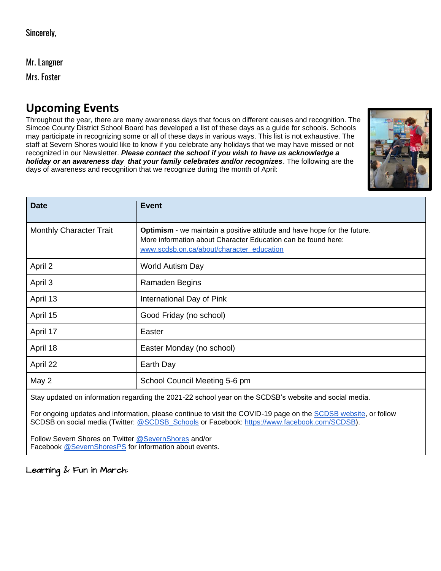Mr. Langner

Mrs. Foster

# **Upcoming Events**

Throughout the year, there are many awareness days that focus on different causes and recognition. The Simcoe County District School Board has developed a list of these days as a guide for schools. Schools may participate in recognizing some or all of these days in various ways. This list is not exhaustive. The staff at Severn Shores would like to know if you celebrate any holidays that we may have missed or not recognized in our Newsletter. *Please contact the school if you wish to have us acknowledge a holiday or an awareness day that your family celebrates and/or recognizes*. The following are the days of awareness and recognition that we recognize during the month of April:



| <b>Date</b>                                                                                                                                                                                                                                                                                                                                                                     | <b>Event</b>                                                                                                                                                                                  |
|---------------------------------------------------------------------------------------------------------------------------------------------------------------------------------------------------------------------------------------------------------------------------------------------------------------------------------------------------------------------------------|-----------------------------------------------------------------------------------------------------------------------------------------------------------------------------------------------|
| <b>Monthly Character Trait</b>                                                                                                                                                                                                                                                                                                                                                  | <b>Optimism</b> - we maintain a positive attitude and have hope for the future.<br>More information about Character Education can be found here:<br>www.scdsb.on.ca/about/character_education |
| April 2                                                                                                                                                                                                                                                                                                                                                                         | World Autism Day                                                                                                                                                                              |
| April 3                                                                                                                                                                                                                                                                                                                                                                         | Ramaden Begins                                                                                                                                                                                |
| April 13                                                                                                                                                                                                                                                                                                                                                                        | International Day of Pink                                                                                                                                                                     |
| April 15                                                                                                                                                                                                                                                                                                                                                                        | Good Friday (no school)                                                                                                                                                                       |
| April 17                                                                                                                                                                                                                                                                                                                                                                        | Easter                                                                                                                                                                                        |
| April 18                                                                                                                                                                                                                                                                                                                                                                        | Easter Monday (no school)                                                                                                                                                                     |
| April 22                                                                                                                                                                                                                                                                                                                                                                        | Earth Day                                                                                                                                                                                     |
| May 2                                                                                                                                                                                                                                                                                                                                                                           | School Council Meeting 5-6 pm                                                                                                                                                                 |
| $\sim$ $\sim$ $\sim$ $\sim$ $\sim$ $\sim$<br>$\mathbf{r}$ $\mathbf{r}$ $\mathbf{r}$ $\mathbf{r}$ $\mathbf{r}$ $\mathbf{r}$ $\mathbf{r}$ $\mathbf{r}$ $\mathbf{r}$ $\mathbf{r}$ $\mathbf{r}$ $\mathbf{r}$ $\mathbf{r}$ $\mathbf{r}$ $\mathbf{r}$ $\mathbf{r}$ $\mathbf{r}$ $\mathbf{r}$ $\mathbf{r}$ $\mathbf{r}$ $\mathbf{r}$ $\mathbf{r}$ $\mathbf{r}$ $\mathbf{r}$ $\mathbf{$ |                                                                                                                                                                                               |

Stay updated on information regarding the 2021-22 school year on the SCDSB's website and social media.

For ongoing updates and information, please continue to visit the COVID-19 page on the [SCDSB website,](https://www.scdsb.on.ca/covid-19) or follow SCDSB on social media (Twitter: [@SCDSB\\_Schools](https://twitter.com/SCDSB_Schools?ref_src=twsrc%5Egoogle%7Ctwcamp%5Eserp%7Ctwgr%5Eauthor) or Facebook: [https://www.facebook.com/SCDSB\)](https://www.facebook.com/SCDSB).

Follow Severn Shores on Twitter [@SevernShores](https://twitter.com/severnshores?lang=en) and/or Facebook [@SevernShoresPS](https://www.facebook.com/SevernShoresPS/) for information about events.

Learning & Fun in March: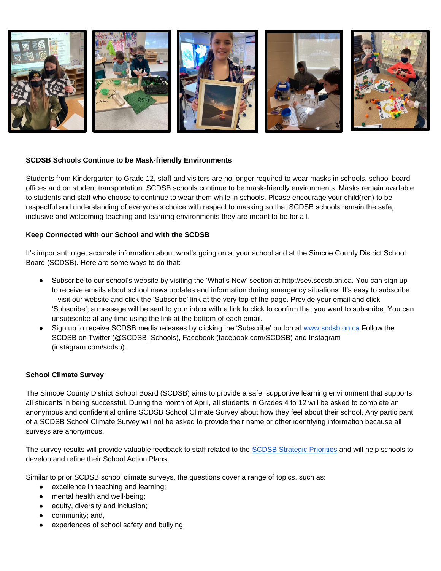

#### **SCDSB Schools Continue to be Mask-friendly Environments**

Students from Kindergarten to Grade 12, staff and visitors are no longer required to wear masks in schools, school board offices and on student transportation. SCDSB schools continue to be mask-friendly environments. Masks remain available to students and staff who choose to continue to wear them while in schools. Please encourage your child(ren) to be respectful and understanding of everyone's choice with respect to masking so that SCDSB schools remain the safe, inclusive and welcoming teaching and learning environments they are meant to be for all.

#### **Keep Connected with our School and with the SCDSB**

It's important to get accurate information about what's going on at your school and at the Simcoe County District School Board (SCDSB). Here are some ways to do that:

- Subscribe to our school's website by visiting the 'What's New' section at http://sev.scdsb.on.ca. You can sign up to receive emails about school news updates and information during emergency situations. It's easy to subscribe – visit our website and click the 'Subscribe' link at the very top of the page. Provide your email and click 'Subscribe'; a message will be sent to your inbox with a link to click to confirm that you want to subscribe. You can unsubscribe at any time using the link at the bottom of each email.
- Sign up to receive SCDSB media releases by clicking the 'Subscribe' button at [www.scdsb.on.ca.](http://www.scdsb.on.ca/)Follow the SCDSB on Twitter (@SCDSB\_Schools), Facebook (facebook.com/SCDSB) and Instagram (instagram.com/scdsb).

#### **School Climate Survey**

The Simcoe County District School Board (SCDSB) aims to provide a safe, supportive learning environment that supports all students in being successful. During the month of April, all students in Grades 4 to 12 will be asked to complete an anonymous and confidential online SCDSB School Climate Survey about how they feel about their school. Any participant of a SCDSB School Climate Survey will not be asked to provide their name or other identifying information because all surveys are anonymous.

The survey results will provide valuable feedback to staff related to th[e](https://www.scdsb.on.ca/about/goals_reporting/strategic_priorities) [SCDSB Strategic Priorities](https://www.scdsb.on.ca/about/goals_reporting/strategic_priorities) and will help schools to develop and refine their School Action Plans.

Similar to prior SCDSB school climate surveys, the questions cover a range of topics, such as:

- excellence in teaching and learning;
- mental health and well-being;
- equity, diversity and inclusion;
- community; and,
- experiences of school safety and bullying.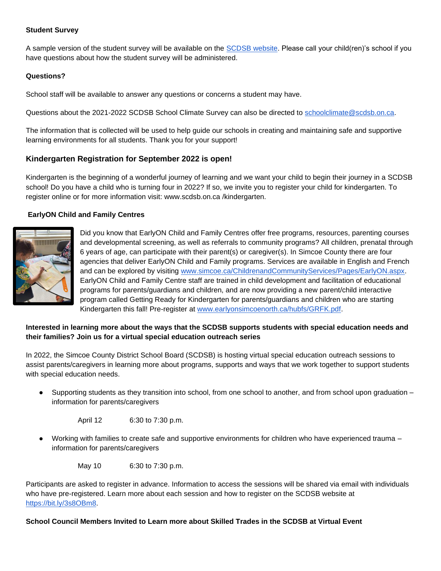#### **Student Survey**

A sample version of the student survey will be available on the [SCDSB website.](http://www.scdsb.on.ca/) Please call your child(ren)'s school if you have questions about how the student survey will be administered.

#### **Questions?**

School staff will be available to answer any questions or concerns a student may have.

Questions about the 2021-2022 SCDSB School Climate Survey can also be directed to [schoolclimate@scdsb.on.ca.](mailto:schoolclimate@scdsb.on.ca)

The information that is collected will be used to help guide our schools in creating and maintaining safe and supportive learning environments for all students. Thank you for your support!

#### **Kindergarten Registration for September 2022 is open!**

Kindergarten is the beginning of a wonderful journey of learning and we want your child to begin their journey in a SCDSB school! Do you have a child who is turning four in 2022? If so, we invite you to register your child for kindergarten. To register online or for more information visit: www.scdsb.on.ca /kindergarten.

#### **EarlyON Child and Family Centres**



Did you know that EarlyON Child and Family Centres offer free programs, resources, parenting courses and developmental screening, as well as referrals to community programs? All children, prenatal through 6 years of age, can participate with their parent(s) or caregiver(s). In Simcoe County there are four agencies that deliver EarlyON Child and Family programs. Services are available in English and French and can be explored by visiting [www.simcoe.ca/ChildrenandCommunityServices/Pages/EarlyON.aspx.](https://can01.safelinks.protection.outlook.com/?url=https%3A%2F%2Fwww.simcoe.ca%2FChildrenandCommunityServices%2FPages%2FEarlyON.aspx&data=04%7C01%7Cafarrell%40scdsb.on.ca%7C98cf9ce9ef964dc1666e08d9d763dc41%7C573d7e64d5434fd8b3da0c64adc4eb35%7C1%7C0%7C637777646153717878%7CUnknown%7CTWFpbGZsb3d8eyJWIjoiMC4wLjAwMDAiLCJQIjoiV2luMzIiLCJBTiI6Ik1haWwiLCJXVCI6Mn0%3D%7C3000&sdata=XQ6tEv63Stplcnbgr83xrMKWBxiTQpTXRwU79btFWEA%3D&reserved=0) EarlyON Child and Family Centre staff are trained in child development and facilitation of educational programs for parents/guardians and children, and are now providing a new parent/child interactive program called Getting Ready for Kindergarten for parents/guardians and children who are starting Kindergarten this fall! Pre-register at [www.earlyonsimcoenorth.ca/hubfs/GRFK.pdf.](http://www.earlyonsimcoenorth.ca/hubfs/GRFK.pdf)

#### **Interested in learning more about the ways that the SCDSB supports students with special education needs and their families? Join us for a virtual special education outreach series**

In 2022, the Simcoe County District School Board (SCDSB) is hosting virtual special education outreach sessions to assist parents/caregivers in learning more about programs, supports and ways that we work together to support students with special education needs.

Supporting students as they transition into school, from one school to another, and from school upon graduation – information for parents/caregivers

April 12 6:30 to 7:30 p.m.

Working with families to create safe and supportive environments for children who have experienced trauma – information for parents/caregivers

May 10 6:30 to 7:30 p.m.

Participants are asked to register in advance. Information to access the sessions will be shared via email with individuals who have pre-registered. Learn more about each session and how to register on the SCDSB website a[t](https://bit.ly/3s8OBm8) [https://bit.ly/3s8OBm8.](https://bit.ly/3s8OBm8)

#### **School Council Members Invited to Learn more about Skilled Trades in the SCDSB at Virtual Event**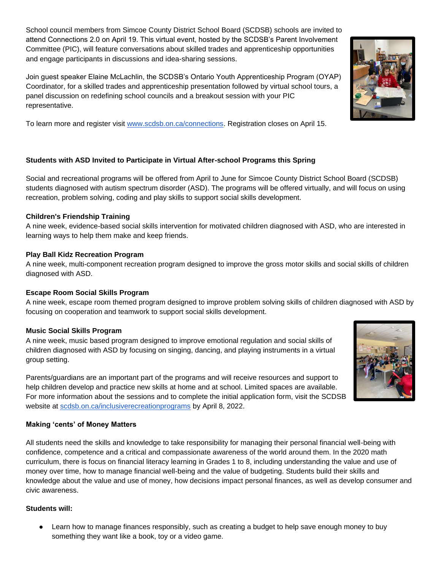School council members from Simcoe County District School Board (SCDSB) schools are invited to attend Connections 2.0 on April 19. This virtual event, hosted by the SCDSB's Parent Involvement Committee (PIC), will feature conversations about skilled trades and apprenticeship opportunities and engage participants in discussions and idea-sharing sessions.

Join guest speaker Elaine McLachlin, the SCDSB's Ontario Youth Apprenticeship Program (OYAP) Coordinator, for a skilled trades and apprenticeship presentation followed by virtual school tours, a panel discussion on redefining school councils and a breakout session with your PIC representative.

To learn more and register visit [www.scdsb.on.ca/connections.](http://www.scdsb.on.ca/connections) Registration closes on April 15.

#### **Students with ASD Invited to Participate in Virtual After-school Programs this Spring**

Social and recreational programs will be offered from April to June for Simcoe County District School Board (SCDSB) students diagnosed with autism spectrum disorder (ASD). The programs will be offered virtually, and will focus on using recreation, problem solving, coding and play skills to support social skills development.

#### **Children's Friendship Training**

A nine week, evidence-based social skills intervention for motivated children diagnosed with ASD, who are interested in learning ways to help them make and keep friends.

#### **Play Ball Kidz Recreation Program**

A nine week, multi-component recreation program designed to improve the gross motor skills and social skills of children diagnosed with ASD.

#### **Escape Room Social Skills Program**

A nine week, escape room themed program designed to improve problem solving skills of children diagnosed with ASD by focusing on cooperation and teamwork to support social skills development.

#### **Music Social Skills Program**

A nine week, music based program designed to improve emotional regulation and social skills of children diagnosed with ASD by focusing on singing, dancing, and playing instruments in a virtual group setting.

Parents/guardians are an important part of the programs and will receive resources and support to help children develop and practice new skills at home and at school. Limited spaces are available. For more information about the sessions and to complete the initial application form, visit the SCDSB website at [scdsb.on.ca/inclusiverecreationprograms](http://www.scdsb.on.ca/inclusiverecreationprograms) by April 8, 2022.

#### **Making 'cents' of Money Matters**

All students need the skills and knowledge to take responsibility for managing their personal financial well-being with confidence, competence and a critical and compassionate awareness of the world around them. In the 2020 math curriculum, there is focus on financial literacy learning in Grades 1 to 8, including understanding the value and use of money over time, how to manage financial well-being and the value of budgeting. Students build their skills and knowledge about the value and use of money, how decisions impact personal finances, as well as develop consumer and civic awareness.

#### **Students will:**

Learn how to manage finances responsibly, such as creating a budget to help save enough money to buy something they want like a book, toy or a video game.



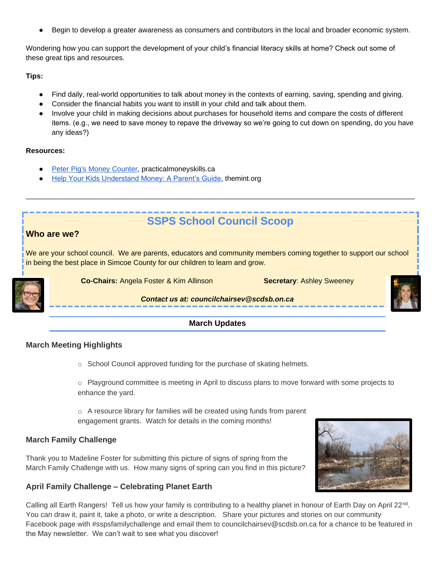Begin to develop a greater awareness as consumers and contributors in the local and broader economic system.

Wondering how you can support the development of your child's financial literacy skills at home? Check out some of these great tips and resources.

**Tips:**

- Find daily, real-world opportunities to talk about money in the contexts of earning, saving, spending and giving.
- Consider the financial habits you want to instill in your child and talk about them.
- Involve your child in making decisions about purchases for household items and compare the costs of different items. (e.g., we need to save money to repave the driveway so we're going to cut down on spending, do you have any ideas?)

#### **Resources:**

- **[Peter Pig's Money Counter,](https://can01.safelinks.protection.outlook.com/?url=https%3A%2F%2Fpracticalmoneyskills.ca%2Fgames%2Fpeterpigs%2F&data=04%7C01%7Cafarrell%40scdsb.on.ca%7C7f39c1a83c8e4553930908da0b465686%7C573d7e64d5434fd8b3da0c64adc4eb35%7C1%7C0%7C637834693960543087%7CUnknown%7CTWFpbGZsb3d8eyJWIjoiMC4wLjAwMDAiLCJQIjoiV2luMzIiLCJBTiI6Ik1haWwiLCJXVCI6Mn0%3D%7C3000&sdata=427YK5KcfMc2rN0uCWYzJgwEL18uaJ%2FZeDcWVQUauQE%3D&reserved=0) practicalmoneyskills.ca**
- [Help Your Kids Understand Money: A Parent's Guide,](https://can01.safelinks.protection.outlook.com/?url=http%3A%2F%2Fwww.themint.org%2Fparents%2Fparenting-guide.html&data=04%7C01%7Cafarrell%40scdsb.on.ca%7C7f39c1a83c8e4553930908da0b465686%7C573d7e64d5434fd8b3da0c64adc4eb35%7C1%7C0%7C637834693960543087%7CUnknown%7CTWFpbGZsb3d8eyJWIjoiMC4wLjAwMDAiLCJQIjoiV2luMzIiLCJBTiI6Ik1haWwiLCJXVCI6Mn0%3D%7C3000&sdata=UzvByvEcYpAtmxsBhM74rJq2SOJwGeNK9C%2Bdhcb0NbY%3D&reserved=0) themint.org

## **SSPS School Council Scoop**

#### **Who are we?**

We are your school council. We are parents, educators and community members coming together to support our school in being the best place in Simcoe County for our children to learn and grow.



**Co-Chairs:** Angela Foster & Kim Allinson **Secretary**: Ashley Sweeney



*Contact us at: councilchairsev@scdsb.on.ca*

#### **March Updates**

#### **March Meeting Highlights**

o School Council approved funding for the purchase of skating helmets.

 $\circ$  Playground committee is meeting in April to discuss plans to move forward with some projects to enhance the yard.

 $\circ$  A resource library for families will be created using funds from parent engagement grants. Watch for details in the coming months!

#### **March Family Challenge**

Thank you to Madeline Foster for submitting this picture of signs of spring from the March Family Challenge with us. How many signs of spring can you find in this picture?

#### **April Family Challenge – Celebrating Planet Earth**



Calling all Earth Rangers! Tell us how your family is contributing to a healthy planet in honour of Earth Day on April 22<sup>nd</sup>. You can draw it, paint it, take a photo, or write a description. Share your pictures and stories on our community Facebook page with #sspsfamilychallenge and email them to councilchairsev@scdsb.on.ca for a chance to be featured in the May newsletter. We can't wait to see what you discover!